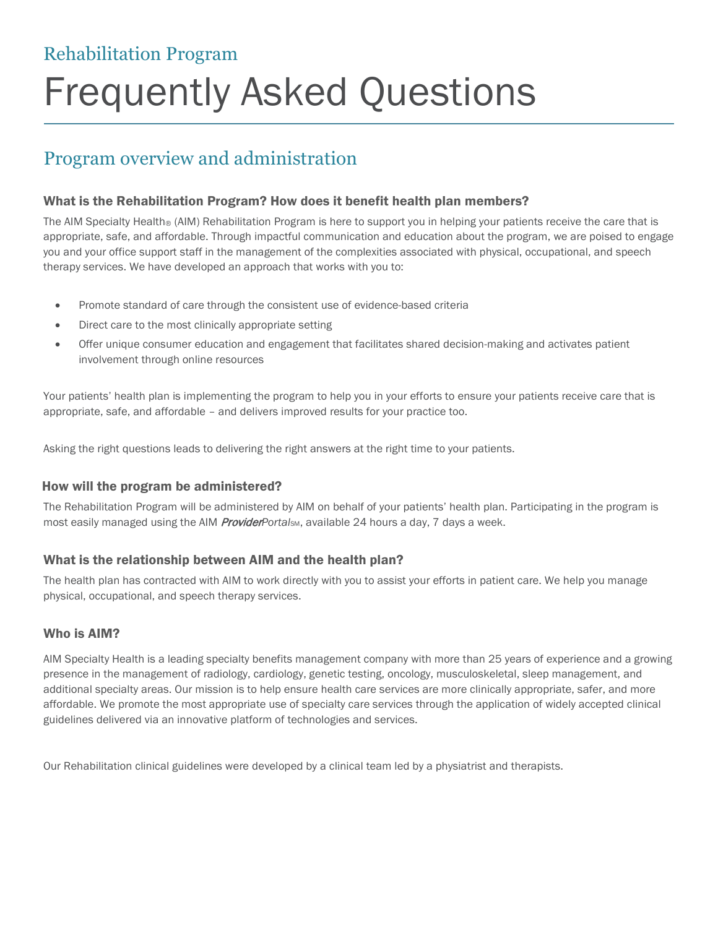# Rehabilitation Program

# Frequently Asked Questions

# Program overview and administration

#### What is the Rehabilitation Program? How does it benefit health plan members?

The AIM Specialty Health<sup>®</sup> (AIM) Rehabilitation Program is here to support you in helping your patients receive the care that is appropriate, safe, and affordable. Through impactful communication and education about the program, we are poised to engage you and your office support staff in the management of the complexities associated with physical, occupational, and speech therapy services. We have developed an approach that works with you to:

- Promote standard of care through the consistent use of evidence-based criteria
- Direct care to the most clinically appropriate setting
- Offer unique consumer education and engagement that facilitates shared decision-making and activates patient involvement through online resources

Your patients' health plan is implementing the program to help you in your efforts to ensure your patients receive care that is appropriate, safe, and affordable – and delivers improved results for your practice too.

Asking the right questions leads to delivering the right answers at the right time to your patients.

#### How will the program be administered?

The Rehabilitation Program will be administered by AIM on behalf of your patients' health plan. Participating in the program is most easily managed using the AIM *ProviderPortalsm*, available 24 hours a day, 7 days a week.

#### What is the relationship between AIM and the health plan?

The health plan has contracted with AIM to work directly with you to assist your efforts in patient care. We help you manage physical, occupational, and speech therapy services.

#### Who is AIM?

AIM Specialty Health is a leading specialty benefits management company with more than 25 years of experience and a growing presence in the management of radiology, cardiology, genetic testing, oncology, musculoskeletal, sleep management, and additional specialty areas. Our mission is to help ensure health care services are more clinically appropriate, safer, and more affordable. We promote the most appropriate use of specialty care services through the application of widely accepted clinical guidelines delivered via an innovative platform of technologies and services.

Our Rehabilitation clinical guidelines were developed by a clinical team led by a physiatrist and therapists.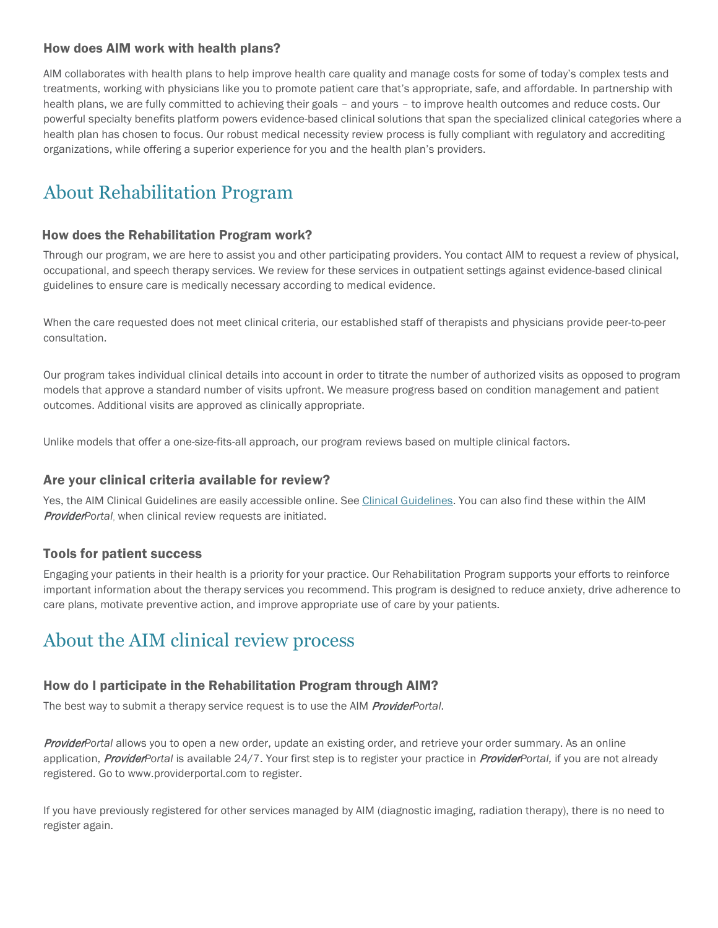#### How does AIM work with health plans?

AIM collaborates with health plans to help improve health care quality and manage costs for some of today's complex tests and treatments, working with physicians like you to promote patient care that's appropriate, safe, and affordable. In partnership with health plans, we are fully committed to achieving their goals – and yours – to improve health outcomes and reduce costs. Our powerful specialty benefits platform powers evidence-based clinical solutions that span the specialized clinical categories where a health plan has chosen to focus. Our robust medical necessity review process is fully compliant with regulatory and accrediting organizations, while offering a superior experience for you and the health plan's providers.

# About Rehabilitation Program

#### How does the Rehabilitation Program work?

Through our program, we are here to assist you and other participating providers. You contact AIM to request a review of physical, occupational, and speech therapy services. We review for these services in outpatient settings against evidence-based clinical guidelines to ensure care is medically necessary according to medical evidence.

When the care requested does not meet clinical criteria, our established staff of therapists and physicians provide peer-to-peer consultation.

Our program takes individual clinical details into account in order to titrate the number of authorized visits as opposed to program models that approve a standard number of visits upfront. We measure progress based on condition management and patient outcomes. Additional visits are approved as clinically appropriate.

Unlike models that offer a one-size-fits-all approach, our program reviews based on multiple clinical factors.

#### Are your clinical criteria available for review?

Yes, the AIM Clinical Guidelines are easily accessible online. See Clinical Guidelines. You can also find these within the AIM ProviderPortal, when clinical review requests are initiated.

#### Tools for patient success

Engaging your patients in their health is a priority for your practice. Our Rehabilitation Program supports your efforts to reinforce important information about the therapy services you recommend. This program is designed to reduce anxiety, drive adherence to care plans, motivate preventive action, and improve appropriate use of care by your patients.

## About the AIM clinical review process

#### How do I participate in the Rehabilitation Program through AIM?

The best way to submit a therapy service request is to use the AIM **ProviderPortal.** 

ProviderPortal allows you to open a new order, update an existing order, and retrieve your order summary. As an online application, ProviderPortal is available 24/7. Your first step is to register your practice in ProviderPortal, if you are not already registered. Go to www.providerportal.com to register.

If you have previously registered for other services managed by AIM (diagnostic imaging, radiation therapy), there is no need to register again.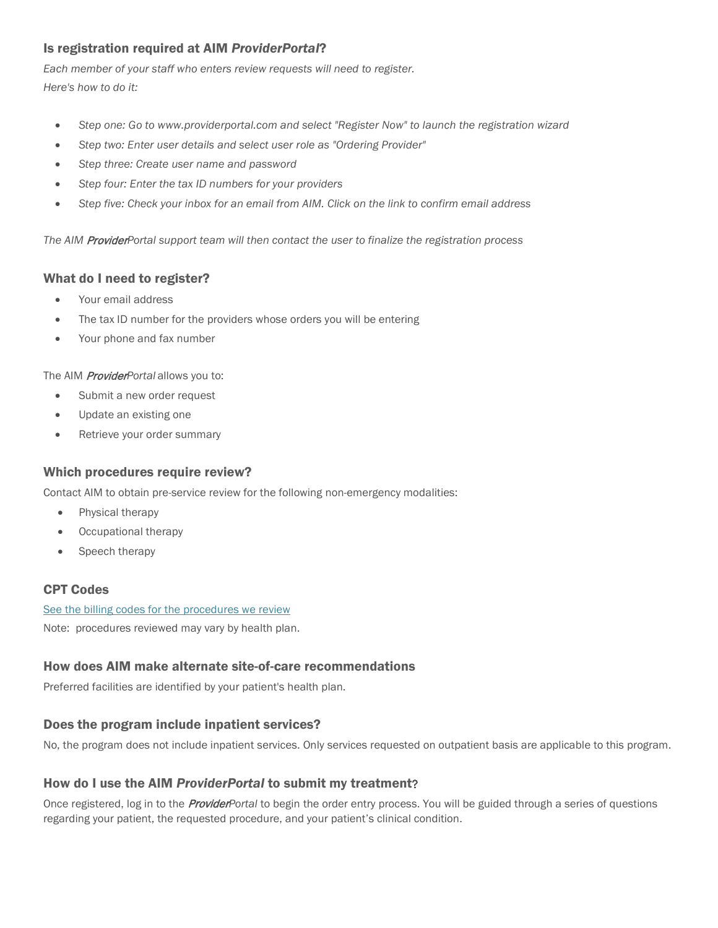#### Is registration required at AIM ProviderPortal?

Each member of your staff who enters review requests will need to register. Here's how to do it:

- Step one: Go to www.providerportal.com and select "Register Now" to launch the registration wizard
- Step two: Enter user details and select user role as "Ordering Provider"
- Step three: Create user name and password
- Step four: Enter the tax ID numbers for your providers
- Step five: Check your inbox for an email from AIM. Click on the link to confirm email address

The AIM ProviderPortal support team will then contact the user to finalize the registration process

#### What do I need to register?

- Your email address
- The tax ID number for the providers whose orders you will be entering
- Your phone and fax number

The AIM **Provider**Portal allows you to:

- Submit a new order request
- Update an existing one
- Retrieve your order summary

#### Which procedures require review?

Contact AIM to obtain pre-service review for the following non-emergency modalities:

- Physical therapy
- Occupational therapy
- Speech therapy

#### CPT Codes

See the billing codes for the procedures we review

Note: procedures reviewed may vary by health plan.

#### How does AIM make alternate site-of-care recommendations

Preferred facilities are identified by your patient's health plan.

#### Does the program include inpatient services?

No, the program does not include inpatient services. Only services requested on outpatient basis are applicable to this program.

#### How do I use the AIM ProviderPortal to submit my treatment

Once registered, log in to the *ProviderPortal* to begin the order entry process. You will be guided through a series of questions regarding your patient, the requested procedure, and your patient's clinical condition.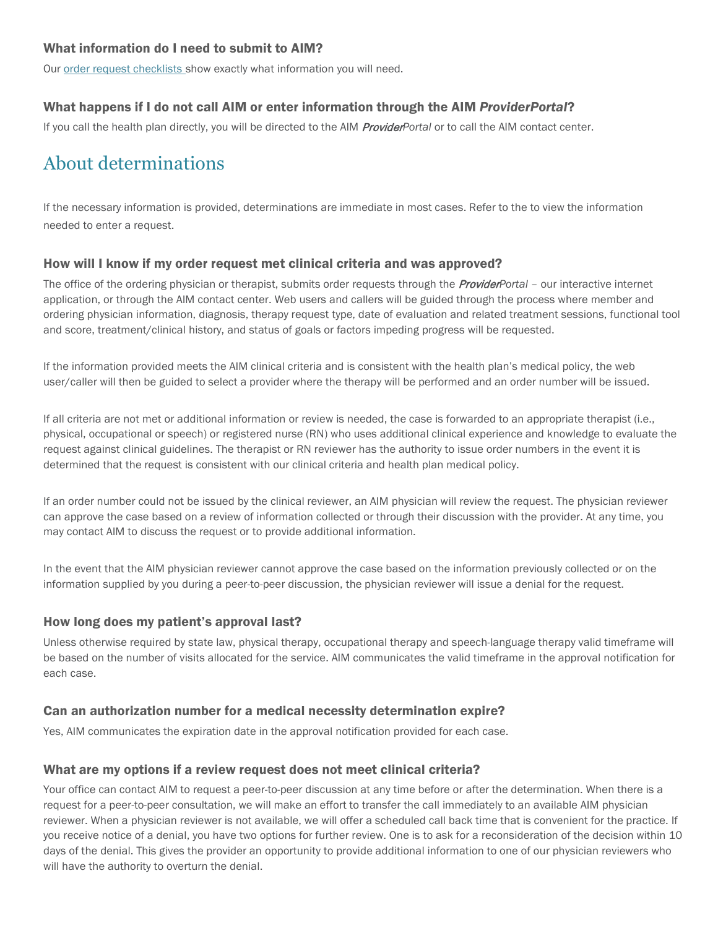#### What information do I need to submit to AIM?

Our order request checklists show exactly what information you will need.

## What happens if I do not call AIM or enter information through the AIM ProviderPortal?

If you call the health plan directly, you will be directed to the AIM *ProviderPortal* or to call the AIM contact center.

# About determinations

If the necessary information is provided, determinations are immediate in most cases. Refer to the to view the information needed to enter a request.

## How will I know if my order request met clinical criteria and was approved?

The office of the ordering physician or therapist, submits order requests through the **ProviderP**ortal - our interactive internet application, or through the AIM contact center. Web users and callers will be guided through the process where member and ordering physician information, diagnosis, therapy request type, date of evaluation and related treatment sessions, functional tool and score, treatment/clinical history, and status of goals or factors impeding progress will be requested.

If the information provided meets the AIM clinical criteria and is consistent with the health plan's medical policy, the web user/caller will then be guided to select a provider where the therapy will be performed and an order number will be issued.

If all criteria are not met or additional information or review is needed, the case is forwarded to an appropriate therapist (i.e., physical, occupational or speech) or registered nurse (RN) who uses additional clinical experience and knowledge to evaluate the request against clinical guidelines. The therapist or RN reviewer has the authority to issue order numbers in the event it is determined that the request is consistent with our clinical criteria and health plan medical policy.

If an order number could not be issued by the clinical reviewer, an AIM physician will review the request. The physician reviewer can approve the case based on a review of information collected or through their discussion with the provider. At any time, you may contact AIM to discuss the request or to provide additional information.

In the event that the AIM physician reviewer cannot approve the case based on the information previously collected or on the information supplied by you during a peer-to-peer discussion, the physician reviewer will issue a denial for the request.

## How long does my patient's approval last?

Unless otherwise required by state law, physical therapy, occupational therapy and speech-language therapy valid timeframe will be based on the number of visits allocated for the service. AIM communicates the valid timeframe in the approval notification for each case.

## Can an authorization number for a medical necessity determination expire?

Yes, AIM communicates the expiration date in the approval notification provided for each case.

## What are my options if a review request does not meet clinical criteria?

Your office can contact AIM to request a peer-to-peer discussion at any time before or after the determination. When there is a request for a peer-to-peer consultation, we will make an effort to transfer the call immediately to an available AIM physician reviewer. When a physician reviewer is not available, we will offer a scheduled call back time that is convenient for the practice. If you receive notice of a denial, you have two options for further review. One is to ask for a reconsideration of the decision within 10 days of the denial. This gives the provider an opportunity to provide additional information to one of our physician reviewers who will have the authority to overturn the denial.